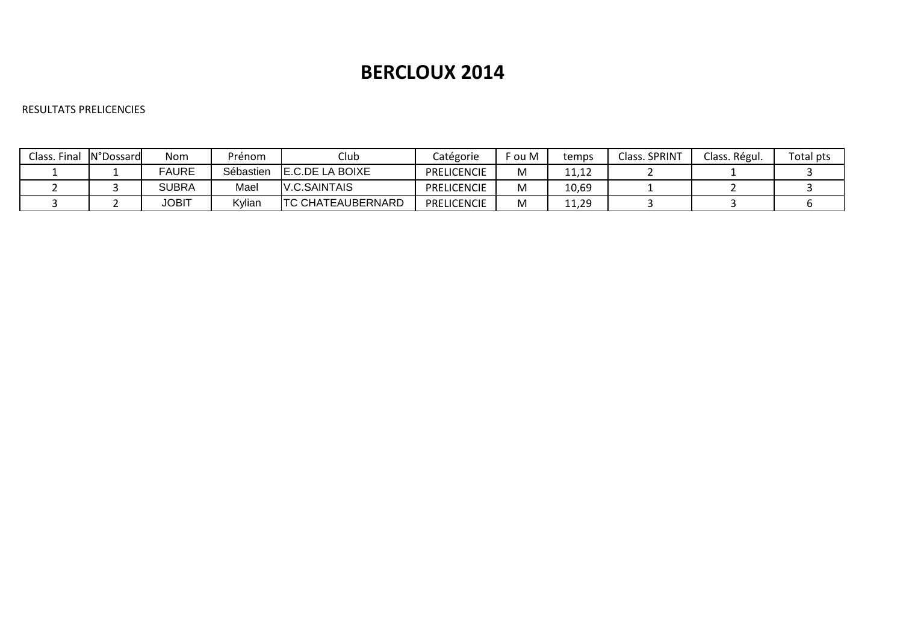# **BERCLOUX 2014**

## RESULTATS PRELICENCIES

| Class. Final | N°Dossard | Nom          | Prénom    | Club                      | Catégorie          | `ou M | temps | Class. SPRINT | Class. Régul. | Total pts |
|--------------|-----------|--------------|-----------|---------------------------|--------------------|-------|-------|---------------|---------------|-----------|
|              |           | FAURE        | Sébastien | <b>IE.C.DE LA BOIXE</b>   | PRELICENCIE        | M     | ++∙+∠ |               |               |           |
|              |           | 3UBRA        | Mael      | <b>IV.C.SAINTAIS</b>      | PRELICENCIE        | M     | 10,69 |               |               |           |
|              |           | <b>JOBIT</b> | Kylian    | <b>ITC CHATEAUBERNARD</b> | <b>PRELICENCIE</b> | M     | 11,29 |               |               |           |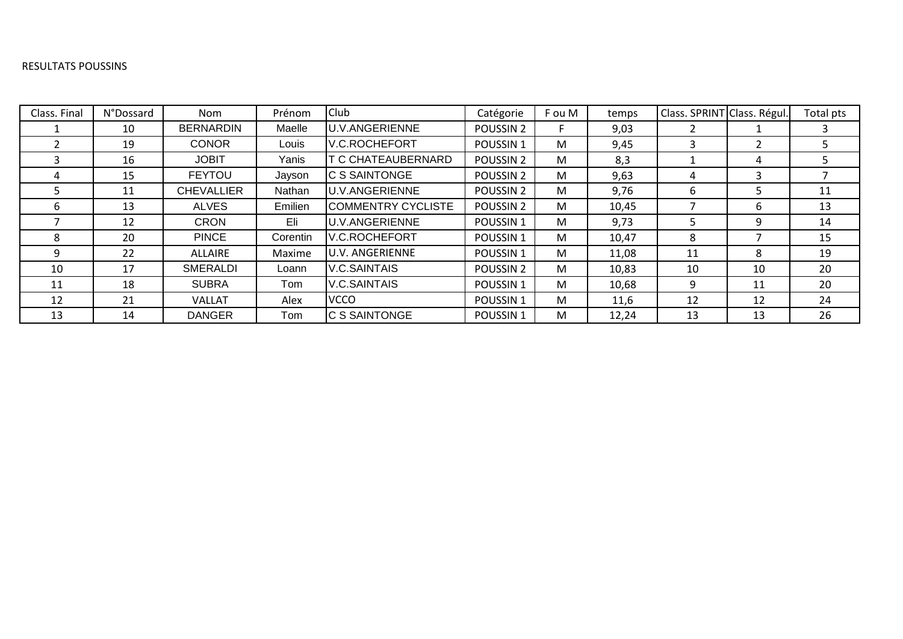#### RESULTATS POUSSINS

| Class. Final | N°Dossard | Nom               | Prénom   | Club                   | Catégorie            | F ou M | temps | Class. SPRINT Class. Régul. |                | Total pts |
|--------------|-----------|-------------------|----------|------------------------|----------------------|--------|-------|-----------------------------|----------------|-----------|
|              | 10        | <b>BERNARDIN</b>  | Maelle   | <b>U.V.ANGERIENNE</b>  | POUSSIN <sub>2</sub> |        | 9,03  |                             |                |           |
|              | 19        | <b>CONOR</b>      | Louis    | <b>V.C.ROCHEFORT</b>   | POUSSIN <sub>1</sub> | M      | 9,45  | 3                           | $\overline{2}$ |           |
|              | 16        | <b>JOBIT</b>      | Yanis    | T C CHATEAUBERNARD     | POUSSIN <sub>2</sub> | M      | 8,3   |                             | 4              |           |
| 4            | 15        | <b>FEYTOU</b>     | Jayson   | IC S SAINTONGE         | POUSSIN <sub>2</sub> | M      | 9,63  | 4                           | 3              |           |
|              | 11        | <b>CHEVALLIER</b> | Nathan   | <b>U.V.ANGERIENNE</b>  | POUSSIN <sub>2</sub> | M      | 9,76  | 6                           | 5              | 11        |
|              | 13        | <b>ALVES</b>      | Emilien  | COMMENTRY CYCLISTE     | POUSSIN <sub>2</sub> | M      | 10,45 |                             | 6              | 13        |
|              | 12        | <b>CRON</b>       | Eli      | <b>U.V.ANGERIENNE</b>  | POUSSIN <sub>1</sub> | M      | 9,73  | 5                           | 9              | 14        |
|              | 20        | <b>PINCE</b>      | Corentin | <b>V.C.ROCHEFORT</b>   | POUSSIN <sub>1</sub> | M      | 10,47 | 8                           |                | 15        |
|              | 22        | ALLAIRE           | Maxime   | <b>U.V. ANGERIENNE</b> | POUSSIN <sub>1</sub> | M      | 11,08 | 11                          | 8              | 19        |
| 10           | 17        | <b>SMERALDI</b>   | Loann    | <b>V.C.SAINTAIS</b>    | POUSSIN <sub>2</sub> | M      | 10,83 | 10                          | 10             | 20        |
| 11           | 18        | <b>SUBRA</b>      | Tom      | V.C.SAINTAIS           | POUSSIN <sub>1</sub> | M      | 10,68 | 9                           | 11             | 20        |
| 12           | 21        | <b>VALLAT</b>     | Alex     | <b>VCCO</b>            | POUSSIN <sub>1</sub> | M      | 11,6  | 12                          | 12             | 24        |
| 13           | 14        | <b>DANGER</b>     | Tom      | <b>C S SAINTONGE</b>   | POUSSIN <sub>1</sub> | M      | 12,24 | 13                          | 13             | 26        |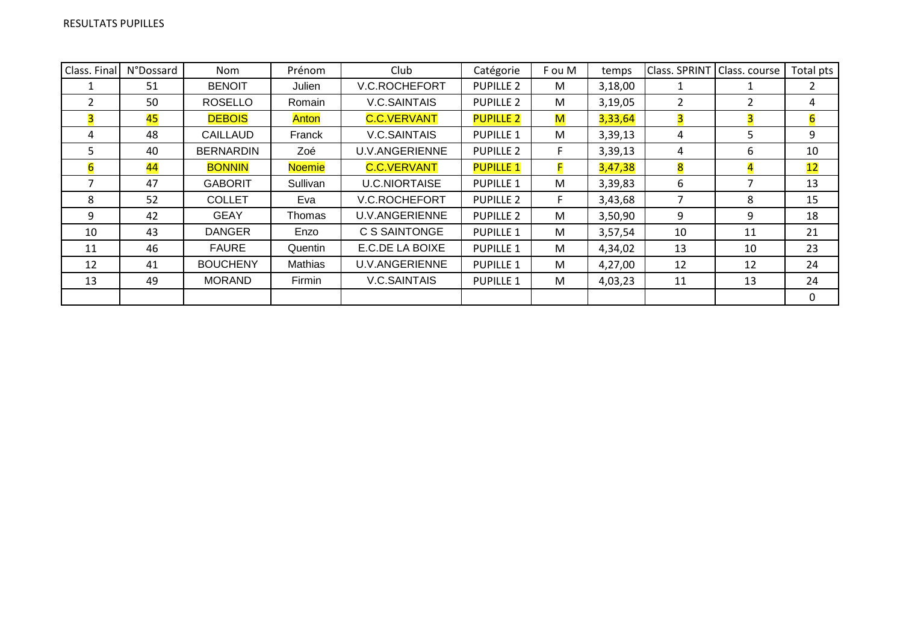| Class. Final   | <b>N°Dossard</b> | Nom              | Prénom         | Club                  | Catégorie        | F ou M | temps   | Class. SPRINT | Class. course  | Total pts |
|----------------|------------------|------------------|----------------|-----------------------|------------------|--------|---------|---------------|----------------|-----------|
|                | 51               | <b>BENOIT</b>    | Julien         | <b>V.C.ROCHEFORT</b>  | <b>PUPILLE 2</b> | M      | 3,18,00 |               |                | 2         |
| $\overline{2}$ | 50               | <b>ROSELLO</b>   | Romain         | <b>V.C.SAINTAIS</b>   | <b>PUPILLE 2</b> | M      | 3,19,05 | 2             | $\overline{2}$ | 4         |
| 3              | 45               | <b>DEBOIS</b>    | Anton          | <b>C.C.VERVANT</b>    | <b>PUPILLE 2</b> | M      | 3,33,64 | 3             | 3              | 6         |
| 4              | 48               | <b>CAILLAUD</b>  | Franck         | <b>V.C.SAINTAIS</b>   | <b>PUPILLE 1</b> | M      | 3,39,13 | 4             | 5              | 9         |
| 5.             | 40               | <b>BERNARDIN</b> | Zoé            | <b>U.V.ANGERIENNE</b> | <b>PUPILLE 2</b> | F      | 3,39,13 | 4             | 6              | 10        |
| 6              | 44               | <b>BONNIN</b>    | <b>Noemie</b>  | <b>C.C.VERVANT</b>    | <b>PUPILLE 1</b> |        | 3,47,38 | 8             | 4              | 12        |
|                | 47               | <b>GABORIT</b>   | Sullivan       | <b>U.C.NIORTAISE</b>  | <b>PUPILLE 1</b> | M      | 3,39,83 | 6             | 7              | 13        |
| 8              | 52               | <b>COLLET</b>    | Eva            | V.C.ROCHEFORT         | <b>PUPILLE 2</b> | F.     | 3,43,68 | 7             | 8              | 15        |
| 9              | 42               | <b>GEAY</b>      | Thomas         | <b>U.V.ANGERIENNE</b> | <b>PUPILLE 2</b> | M      | 3,50,90 | 9             | 9              | 18        |
| 10             | 43               | <b>DANGER</b>    | Enzo           | C S SAINTONGE         | <b>PUPILLE 1</b> | M      | 3,57,54 | 10            | 11             | 21        |
| 11             | 46               | <b>FAURE</b>     | Quentin        | E.C.DE LA BOIXE       | <b>PUPILLE 1</b> | M      | 4,34,02 | 13            | 10             | 23        |
| 12             | 41               | <b>BOUCHENY</b>  | <b>Mathias</b> | <b>U.V.ANGERIENNE</b> | <b>PUPILLE 1</b> | M      | 4,27,00 | 12            | 12             | 24        |
| 13             | 49               | <b>MORAND</b>    | Firmin         | V.C.SAINTAIS          | <b>PUPILLE 1</b> | M      | 4,03,23 | 11            | 13             | 24        |
|                |                  |                  |                |                       |                  |        |         |               |                | 0         |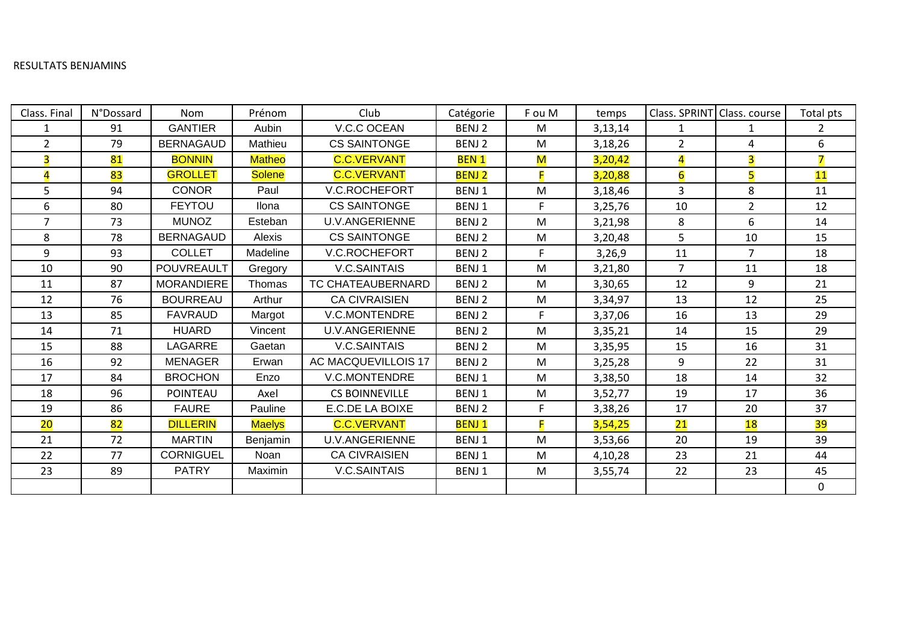## RESULTATS BENJAMINS

| Class. Final            | <b>N°Dossard</b> | Nom               | Prénom        | Club                  | Catégorie         | F ou M | temps   |                         | Class. SPRINT Class. course | Total pts      |
|-------------------------|------------------|-------------------|---------------|-----------------------|-------------------|--------|---------|-------------------------|-----------------------------|----------------|
| $\mathbf 1$             | 91               | <b>GANTIER</b>    | Aubin         | V.C.C OCEAN           | BENJ <sub>2</sub> | M      | 3,13,14 | $\mathbf{1}$            | 1                           | $\overline{2}$ |
| $\overline{2}$          | 79               | <b>BERNAGAUD</b>  | Mathieu       | <b>CS SAINTONGE</b>   | BENJ 2            | M      | 3,18,26 | $\overline{2}$          | $\overline{4}$              | 6              |
| $\overline{\mathbf{3}}$ | 81               | <b>BONNIN</b>     | <b>Matheo</b> | <b>C.C.VERVANT</b>    | <b>BEN1</b>       | M      | 3,20,42 | $\overline{\mathbf{4}}$ | $\overline{3}$              | 7              |
| $\overline{4}$          | 83               | <b>GROLLET</b>    | <b>Solene</b> | <b>C.C.VERVANT</b>    | <b>BENJ2</b>      |        | 3,20,88 | 6                       | 5                           | 11             |
| 5                       | 94               | <b>CONOR</b>      | Paul          | <b>V.C.ROCHEFORT</b>  | BENJ1             | M      | 3,18,46 | 3                       | 8                           | 11             |
| 6                       | 80               | <b>FEYTOU</b>     | Ilona         | <b>CS SAINTONGE</b>   | BENJ1             | F.     | 3,25,76 | 10                      | $\overline{2}$              | 12             |
| $\overline{7}$          | 73               | <b>MUNOZ</b>      | Esteban       | <b>U.V.ANGERIENNE</b> | BENJ 2            | M      | 3,21,98 | 8                       | 6                           | 14             |
| 8                       | 78               | <b>BERNAGAUD</b>  | Alexis        | <b>CS SAINTONGE</b>   | BENJ 2            | M      | 3,20,48 | 5                       | 10                          | 15             |
| 9                       | 93               | <b>COLLET</b>     | Madeline      | <b>V.C.ROCHEFORT</b>  | BENJ 2            | F.     | 3,26,9  | 11                      | $\overline{7}$              | 18             |
| 10                      | 90               | POUVREAULT        | Gregory       | <b>V.C.SAINTAIS</b>   | BENJ1             | M      | 3,21,80 | $\overline{7}$          | 11                          | 18             |
| 11                      | 87               | <b>MORANDIERE</b> | Thomas        | TC CHATEAUBERNARD     | BENJ 2            | M      | 3,30,65 | 12                      | 9                           | 21             |
| 12                      | 76               | <b>BOURREAU</b>   | Arthur        | <b>CA CIVRAISIEN</b>  | BENJ 2            | M      | 3,34,97 | 13                      | 12                          | 25             |
| 13                      | 85               | <b>FAVRAUD</b>    | Margot        | V.C.MONTENDRE         | BENJ 2            | F.     | 3,37,06 | 16                      | 13                          | 29             |
| 14                      | 71               | <b>HUARD</b>      | Vincent       | <b>U.V.ANGERIENNE</b> | BENJ 2            | M      | 3,35,21 | 14                      | 15                          | 29             |
| 15                      | 88               | LAGARRE           | Gaetan        | <b>V.C.SAINTAIS</b>   | BENJ 2            | M      | 3,35,95 | 15                      | 16                          | 31             |
| 16                      | 92               | <b>MENAGER</b>    | Erwan         | AC MACQUEVILLOIS 17   | BENJ 2            | M      | 3,25,28 | 9                       | 22                          | 31             |
| 17                      | 84               | <b>BROCHON</b>    | Enzo          | V.C.MONTENDRE         | BENJ1             | M      | 3,38,50 | 18                      | 14                          | 32             |
| 18                      | 96               | POINTEAU          | Axel          | <b>CS BOINNEVILLE</b> | BENJ1             | M      | 3,52,77 | 19                      | 17                          | 36             |
| 19                      | 86               | <b>FAURE</b>      | Pauline       | E.C.DE LA BOIXE       | BENJ 2            | F.     | 3,38,26 | 17                      | 20                          | 37             |
| 20                      | 82               | <b>DILLERIN</b>   | <b>Maelys</b> | <b>C.C.VERVANT</b>    | <b>BENJ1</b>      | F      | 3,54,25 | 21                      | <b>18</b>                   | 39             |
| 21                      | 72               | <b>MARTIN</b>     | Benjamin      | U.V.ANGERIENNE        | BENJ1             | M      | 3,53,66 | 20                      | 19                          | 39             |
| 22                      | 77               | <b>CORNIGUEL</b>  | Noan          | <b>CA CIVRAISIEN</b>  | BENJ1             | M      | 4,10,28 | 23                      | 21                          | 44             |
| 23                      | 89               | <b>PATRY</b>      | Maximin       | V.C.SAINTAIS          | BENJ1             | M      | 3,55,74 | 22                      | 23                          | 45             |
|                         |                  |                   |               |                       |                   |        |         |                         |                             | $\mathbf 0$    |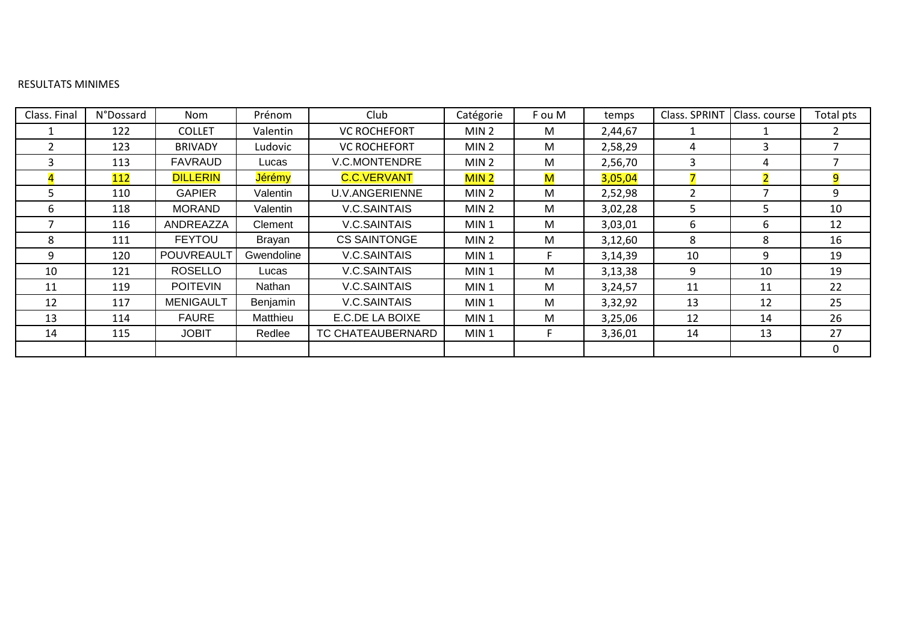# RESULTATS MINIMES

| Class. Final | N°Dossard | <b>Nom</b>        | Prénom     | Club                  | Catégorie        | F ou M       | temps   | Class. SPRINT | Class. course            | Total pts |
|--------------|-----------|-------------------|------------|-----------------------|------------------|--------------|---------|---------------|--------------------------|-----------|
|              | 122       | <b>COLLET</b>     | Valentin   | <b>VC ROCHEFORT</b>   | MIN <sub>2</sub> | M            | 2,44,67 |               |                          |           |
|              | 123       | <b>BRIVADY</b>    | Ludovic    | <b>VC ROCHEFORT</b>   | MIN <sub>2</sub> | M            | 2,58,29 | 4             | 3                        |           |
| κ            | 113       | FAVRAUD           | Lucas      | <b>V.C.MONTENDRE</b>  | MIN <sub>2</sub> | M            | 2,56,70 | 3             | 4                        |           |
| $\mathbf{A}$ | 112       | <b>DILLERIN</b>   | Jérémy     | <b>C.C.VERVANT</b>    | MIN <sub>2</sub> | $\mathsf{M}$ | 3,05,04 |               | $\overline{\mathcal{L}}$ | 9         |
| 5.           | 110       | <b>GAPIER</b>     | Valentin   | <b>U.V.ANGERIENNE</b> | MIN <sub>2</sub> | M            | 2,52,98 |               | 7                        | 9         |
| 6            | 118       | <b>MORAND</b>     | Valentin   | V.C.SAINTAIS          | MIN <sub>2</sub> | M            | 3,02,28 | 5             | 5                        | 10        |
|              | 116       | ANDREAZZA         | Clement    | V.C.SAINTAIS          | MIN <sub>1</sub> | M            | 3,03,01 | 6             | 6                        | 12        |
| 8            | 111       | <b>FEYTOU</b>     | Brayan     | <b>CS SAINTONGE</b>   | MIN <sub>2</sub> | M            | 3,12,60 | 8             | 8                        | 16        |
| 9            | 120       | <b>POUVREAULT</b> | Gwendoline | V.C.SAINTAIS          | MIN <sub>1</sub> | F.           | 3,14,39 | 10            | 9                        | 19        |
| 10           | 121       | <b>ROSELLO</b>    | Lucas      | V.C.SAINTAIS          | MIN <sub>1</sub> | M            | 3,13,38 | 9             | 10                       | 19        |
| 11           | 119       | <b>POITEVIN</b>   | Nathan     | V.C.SAINTAIS          | MIN <sub>1</sub> | M            | 3,24,57 | 11            | 11                       | 22        |
| 12           | 117       | <b>MENIGAULT</b>  | Benjamin   | V.C.SAINTAIS          | MIN <sub>1</sub> | M            | 3,32,92 | 13            | 12                       | 25        |
| 13           | 114       | <b>FAURE</b>      | Matthieu   | E.C.DE LA BOIXE       | MIN <sub>1</sub> | M            | 3,25,06 | 12            | 14                       | 26        |
| 14           | 115       | <b>JOBIT</b>      | Redlee     | TC CHATEAUBERNARD     | MIN <sub>1</sub> | F            | 3,36,01 | 14            | 13                       | 27        |
|              |           |                   |            |                       |                  |              |         |               |                          | $\Omega$  |